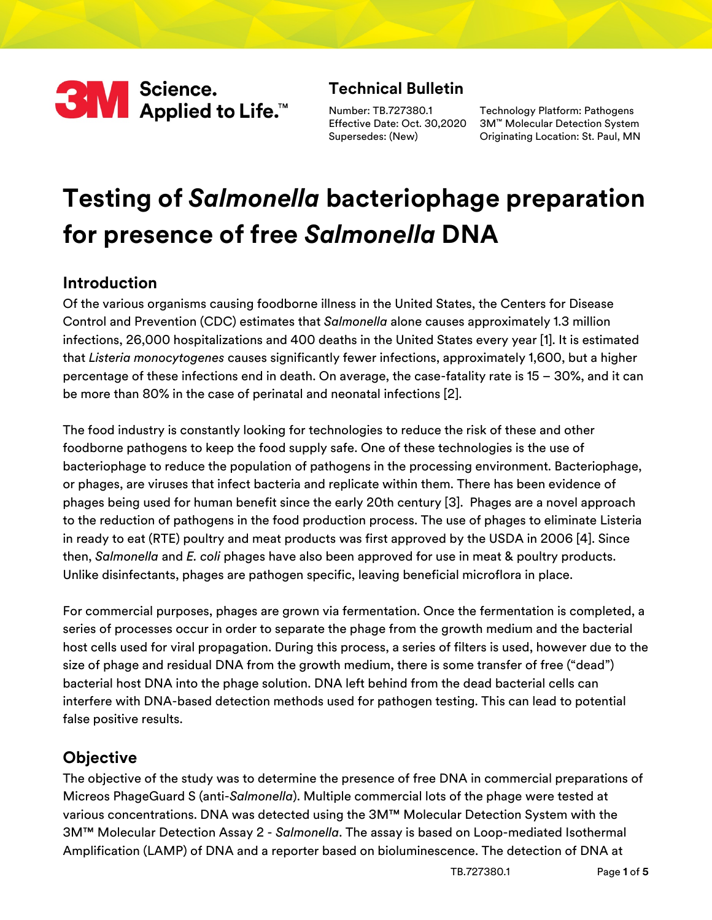

# **Technical Bulletin**

Number: TB.727380.1 Supersedes: (New)

Effective Date: Oct. 30,2020 3M™ Molecular Detection System Technology Platform: Pathogens Originating Location: St. Paul, MN

# **Testing of** *Salmonella* **bacteriophage preparation for presence of free** *Salmonella* **DNA**

#### **Introduction**

Of the various organisms causing foodborne illness in the United States, the Centers for Disease Control and Prevention (CDC) estimates that *Salmonella* alone causes approximately 1.3 million infections, 26,000 hospitalizations and 400 deaths in the United States every year [[1\]](#page-4-0). It is estimated that *Listeria monocytogenes* causes significantly fewer infections, approximately 1,600, but a higher percentage of these infections end in death. On average, the case-fatality rate is 15 – 30%, and it can be more than 80% in the case of perinatal and neonatal infections [[2](#page-4-1)].

The food industry is constantly looking for technologies to reduce the risk of these and other foodborne pathogens to keep the food supply safe. One of these technologies is the use of bacteriophage to reduce the population of pathogens in the processing environment. Bacteriophage, or phages, are viruses that infect bacteria and replicate within them. There has been evidence of phages being used for human benefit since the early 20th century [[3\]](#page-4-2). Phages are a novel approach to the reduction of pathogens in the food production process. The use of phages to eliminate Listeria in ready to eat (RTE) poultry and meat products was first approved by the USDA in 2006 [[4\]](#page-4-3). Since then, *Salmonella* and *E. coli* phages have also been approved for use in meat & poultry products. Unlike disinfectants, phages are pathogen specific, leaving beneficial microflora in place.

For commercial purposes, phages are grown via fermentation. Once the fermentation is completed, a series of processes occur in order to separate the phage from the growth medium and the bacterial host cells used for viral propagation. During this process, a series of filters is used, however due to the size of phage and residual DNA from the growth medium, there is some transfer of free ("dead") bacterial host DNA into the phage solution. DNA left behind from the dead bacterial cells can interfere with DNA-based detection methods used for pathogen testing. This can lead to potential false positive results.

#### **Objective**

The objective of the study was to determine the presence of free DNA in commercial preparations of Micreos PhageGuard S (anti-*Salmonella*). Multiple commercial lots of the phage were tested at various concentrations. DNA was detected using the 3M™ Molecular Detection System with the 3M™ Molecular Detection Assay 2 - *Salmonella*. The assay is based on Loop-mediated Isothermal Amplification (LAMP) of DNA and a reporter based on bioluminescence. The detection of DNA at

TB.727380.1 Page **1** of **5**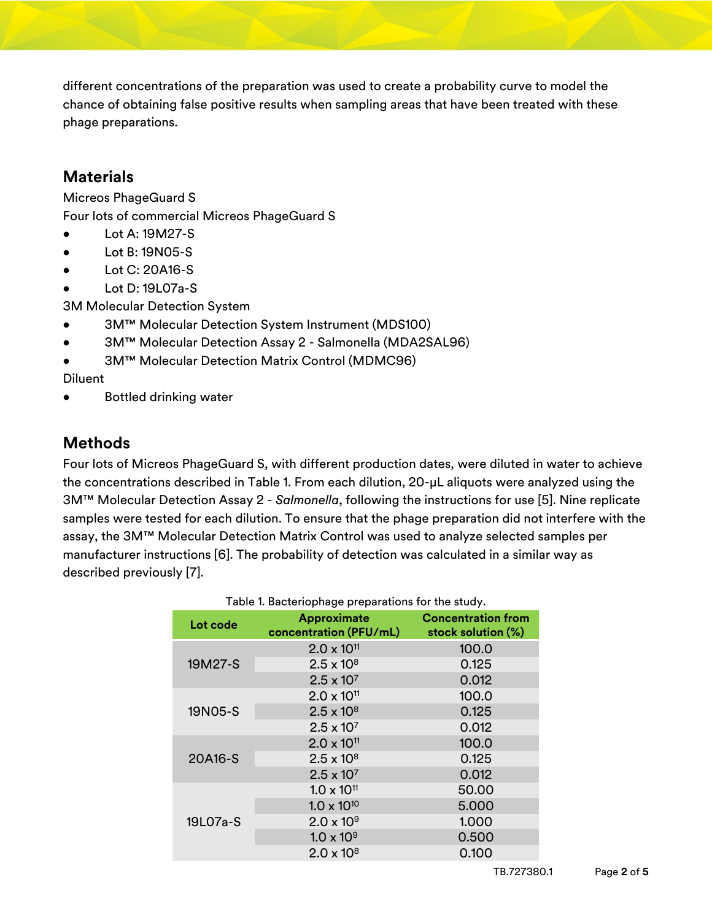different concentrations of the preparation was used to create a probability curve to model the chance of obtaining false positive results when sampling areas that have been treated with these phage preparations.

### **Materials**

Micreos PhageGuard S

Four lots of commercial Micreos PhageGuard S

- Lot A: 19M27-S
- Lot B: 19N05-S
- Lot C: 20A16-S
- Lot D: 19L07a-S

3M Molecular Detection System

- 3M™ Molecular Detection System Instrument (MDS100)
- 3M™ Molecular Detection Assay 2 Salmonella (MDA2SAL96)
- 3M™ Molecular Detection Matrix Control (MDMC96)

Diluent

Bottled drinking water

# **Methods**

Four lots of Micreos PhageGuard S, with different production dates, were diluted in water to achieve the concentrations described in [Table 1.](#page-1-0) From each dilution, 20-µL aliquots were analyzed using the 3M™ Molecular Detection Assay 2 - *Salmonella*, following the instructions for use [[5](#page-4-4)]. Nine replicate samples were tested for each dilution. To ensure that the phage preparation did not interfere with the assay, the 3M™ Molecular Detection Matrix Control was used to analyze selected samples per manufacturer instructions [[6\]](#page-4-5). The probability of detection was calculated in a similar way as described previously [\[7](#page-4-6)].

<span id="page-1-0"></span>

| Table 1. Bacteriophage preparations for the study. |                                              |                                                 |  |  |  |
|----------------------------------------------------|----------------------------------------------|-------------------------------------------------|--|--|--|
| Lot code                                           | <b>Approximate</b><br>concentration (PFU/mL) | <b>Concentration from</b><br>stock solution (%) |  |  |  |
|                                                    | $2.0 \times 10^{11}$                         | 100.0                                           |  |  |  |
| 19M27-S                                            | $2.5 \times 10^{8}$                          | 0.125                                           |  |  |  |
|                                                    | $2.5 \times 10^{7}$                          | 0.012                                           |  |  |  |
| 19N05-S                                            | $2.0 \times 10^{11}$                         | 100.0                                           |  |  |  |
|                                                    | $2.5 \times 10^{8}$                          | 0.125                                           |  |  |  |
|                                                    | $2.5 \times 10^{7}$                          | 0.012                                           |  |  |  |
|                                                    | $2.0 \times 10^{11}$                         | 100.0                                           |  |  |  |
| 20A16-S                                            | $2.5 \times 10^{8}$                          | 0.125                                           |  |  |  |
|                                                    | $2.5 \times 10^{7}$                          | 0.012                                           |  |  |  |
|                                                    | $1.0 \times 10^{11}$                         | 50.00                                           |  |  |  |
|                                                    | $1.0 \times 10^{10}$                         | 5.000                                           |  |  |  |
| 19L07a-S                                           | $2.0 \times 10^{9}$                          | 1.000                                           |  |  |  |
|                                                    | $1.0 \times 10^{9}$                          | 0.500                                           |  |  |  |
|                                                    | $2.0 \times 10^8$                            | 0.100                                           |  |  |  |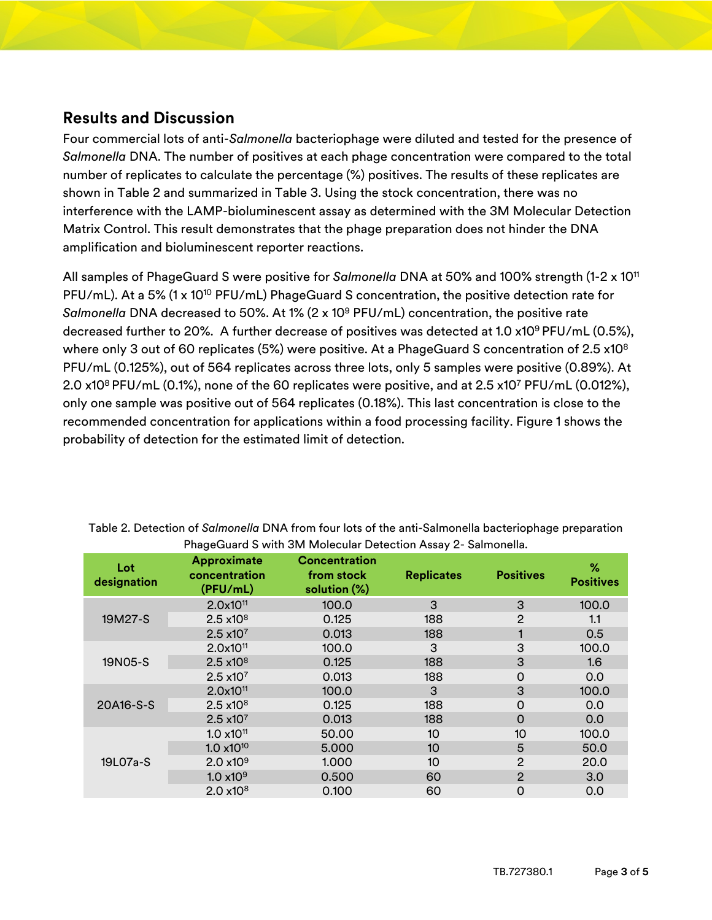#### **Results and Discussion**

Four commercial lots of anti-*Salmonella* bacteriophage were diluted and tested for the presence of *Salmonella* DNA. The number of positives at each phage concentration were compared to the total number of replicates to calculate the percentage (%) positives. The results of these replicates are shown in [Table 2](#page-2-0) and summarized in [Table 3.](#page-3-0) Using the stock concentration, there was no interference with the LAMP-bioluminescent assay as determined with the 3M Molecular Detection Matrix Control. This result demonstrates that the phage preparation does not hinder the DNA amplification and bioluminescent reporter reactions.

All samples of PhageGuard S were positive for *Salmonella* DNA at 50% and 100% strength (1-2 x 10<sup>11</sup> PFU/mL). At a 5% (1 x 10<sup>10</sup> PFU/mL) PhageGuard S concentration, the positive detection rate for *Salmonella* DNA decreased to 50%. At 1% (2 x 10<sup>9</sup> PFU/mL) concentration, the positive rate decreased further to 20%. A further decrease of positives was detected at 1.0  $x10^9$  PFU/mL (0.5%), where only 3 out of 60 replicates (5%) were positive. At a PhageGuard S concentration of 2.5 x10<sup>8</sup> PFU/mL (0.125%), out of 564 replicates across three lots, only 5 samples were positive (0.89%). At 2.0 x10 $^8$  PFU/mL (0.1%), none of the 60 replicates were positive, and at 2.5 x10 $^7$  PFU/mL (0.012%), only one sample was positive out of 564 replicates (0.18%). This last concentration is close to the recommended concentration for applications within a food processing facility. [Figure 1](#page-3-1) shows the probability of detection for the estimated limit of detection.

| Lot<br>designation | <b>Approximate</b><br>concentration<br>(PFU/mL) | <b>Concentration</b><br>from stock<br>solution (%) | <b>Replicates</b> | <b>Positives</b> | %<br><b>Positives</b> |
|--------------------|-------------------------------------------------|----------------------------------------------------|-------------------|------------------|-----------------------|
| 19M27-S            | 2.0x10 <sup>11</sup>                            | 100.0                                              | 3                 | 3                | 100.0                 |
|                    | $2.5 \times 10^8$                               | 0.125                                              | 188               | $\overline{2}$   | 1.1                   |
|                    | $2.5 \times 10^{7}$                             | 0.013                                              | 188               |                  | 0.5                   |
| 19N05-S            | 2.0x10 <sup>11</sup>                            | 100.0                                              | 3                 | 3                | 100.0                 |
|                    | $2.5 \times 10^8$                               | 0.125                                              | 188               | 3                | 1.6                   |
|                    | $2.5 \times 10^{7}$                             | 0.013                                              | 188               | $\overline{0}$   | 0.0                   |
| 20A16-S-S          | 2.0x10 <sup>11</sup>                            | 100.0                                              | 3                 | 3                | 100.0                 |
|                    | $2.5 \times 10^8$                               | 0.125                                              | 188               | $\mathbf 0$      | 0.0                   |
|                    | $2.5 \times 10^{7}$                             | 0.013                                              | 188               | $\Omega$         | 0.0                   |
| 19L07a-S           | $1.0 \times 10^{11}$                            | 50.00                                              | 10                | 10               | 100.0                 |
|                    | $1.0 \times 10^{10}$                            | 5.000                                              | 10                | 5                | 50.0                  |
|                    | $2.0 \times 10^{9}$                             | 1.000                                              | 10                | $\overline{2}$   | 20.0                  |
|                    | $1.0 \times 10^{9}$                             | 0.500                                              | 60                | $\overline{2}$   | 3.0                   |
|                    | $2.0 \times 10^8$                               | 0.100                                              | 60                | $\overline{0}$   | 0.0                   |

<span id="page-2-0"></span>Table 2. Detection of *Salmonella* DNA from four lots of the anti-Salmonella bacteriophage preparation PhageGuard S with 3M Molecular Detection Assay 2- Salmonella.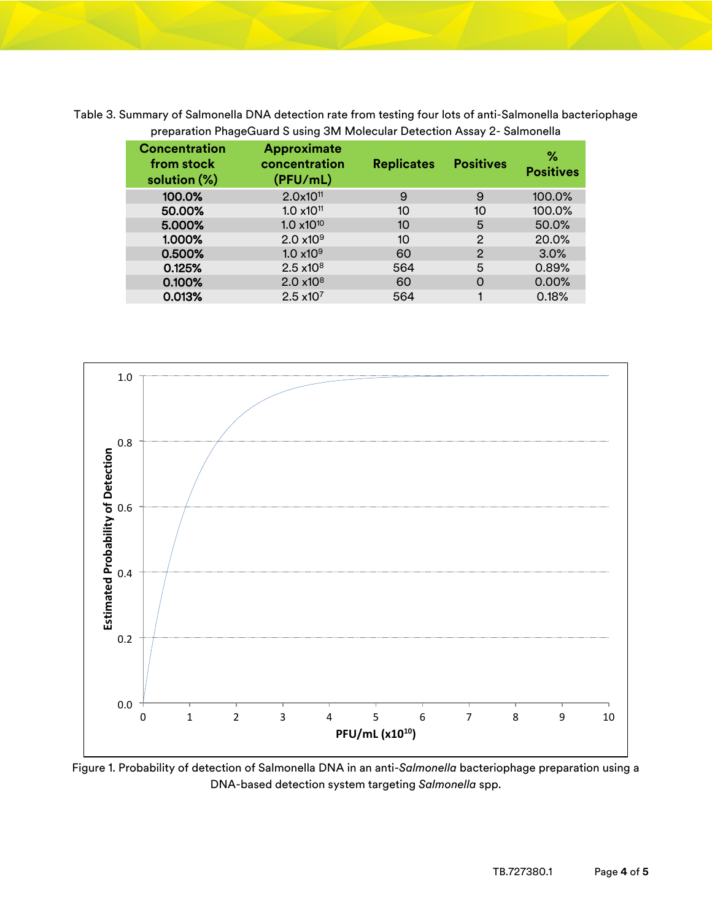<span id="page-3-0"></span>Table 3. Summary of Salmonella DNA detection rate from testing four lots of anti-Salmonella bacteriophage preparation PhageGuard S using 3M Molecular Detection Assay 2- Salmonella

| <b>Concentration</b><br>from stock<br>solution (%) | <b>Approximate</b><br>concentration<br>(PFU/mL) | <b>Replicates</b> | <b>Positives</b> | %<br><b>Positives</b> |
|----------------------------------------------------|-------------------------------------------------|-------------------|------------------|-----------------------|
| 100.0%                                             | 2.0x10 <sup>11</sup>                            | 9                 | 9                | 100.0%                |
| 50.00%                                             | $1.0 \times 10^{11}$                            | 10                | 10               | 100.0%                |
| 5.000%                                             | $1.0 \times 10^{10}$                            | 10                | 5                | 50.0%                 |
| 1.000%                                             | $2.0 \times 10^{9}$                             | 10                | 2                | 20.0%                 |
| 0.500%                                             | $1.0 \times 10^{9}$                             | 60                | 2                | 3.0%                  |
| 0.125%                                             | $2.5 \times 10^8$                               | 564               | 5                | 0.89%                 |
| 0.100%                                             | 2.0 x10 <sup>8</sup>                            | 60                | $\Omega$         | 0.00%                 |
| 0.013%                                             | $2.5 \times 10^7$                               | 564               |                  | 0.18%                 |



<span id="page-3-1"></span>Figure 1. Probability of detection of Salmonella DNA in an anti-*Salmonella* bacteriophage preparation using a DNA-based detection system targeting *Salmonella* spp.